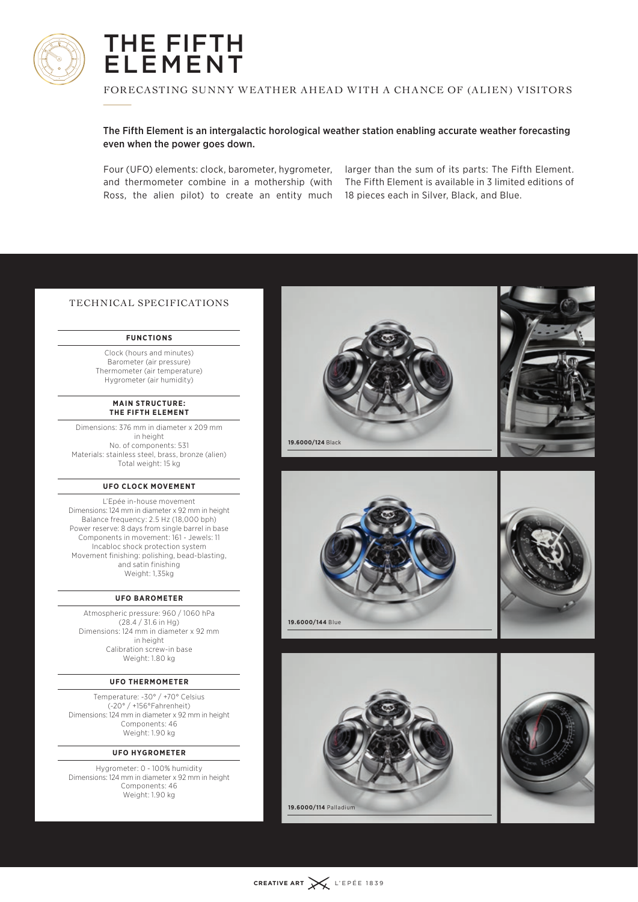



FORECASTING SUNNY WEATHER AHEAD WITH A CHANCE OF (ALIEN) VISITORS

# The Fifth Element is an intergalactic horological weather station enabling accurate weather forecasting even when the power goes down.

Four (UFO) elements: clock, barometer, hygrometer, larger than the sum of its parts: The Fifth Element. and thermometer combine in a mothership (with Ross, the alien pilot) to create an entity much 18 pieces each in Silver, Black, and Blue.

The Fifth Element is available in 3 limited editions of

# TECHNICAL SPECIFICATIONS

## **FUNCTIONS**

Clock (hours and minutes) Barometer (air pressure) Thermometer (air temperature) Hygrometer (air humidity)

#### **MAIN STRUCTURE: THE FIFTH ELEMENT**

Dimensions: 376 mm in diameter x 209 mm in height No. of components: 531 Materials: stainless steel, brass, bronze (alien) Total weight: 15 kg

## **UFO CLOCK MOVEMENT**

L'Epée in-house movement Dimensions: 124 mm in diameter x 92 mm in height Balance frequency: 2.5 Hz (18,000 bph) Power reserve: 8 days from single barrel in base Components in movement: 161 - Jewels: 11 Incabloc shock protection system Movement finishing: polishing, bead-blasting, and satin finishing Weight: 1,35kg

### **UFO BAROMETER**

Atmospheric pressure: 960 / 1060 hPa (28.4 / 31.6 in Hg) Dimensions: 124 mm in diameter x 92 mm in height Calibration screw-in base Weight: 1.80 kg

### **UFO THERMOMETER**

Temperature: -30° / +70° Celsius (-20° / +156°Fahrenheit) Dimensions: 124 mm in diameter x 92 mm in height Components: 46 Weight: 1.90 kg

## **UFO HYGROMETER**

Hygrometer: 0 - 100% humidity Dimensions: 124 mm in diameter x 92 mm in height Components: 46 Weight: 1.90 kg